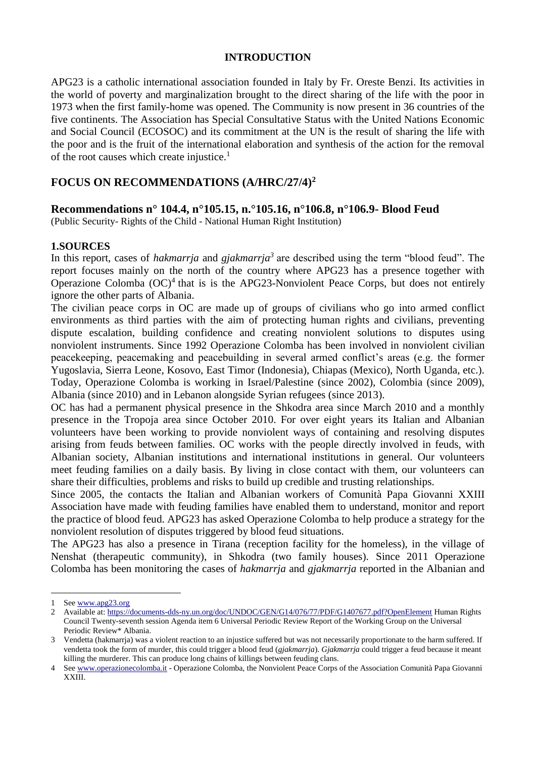#### **INTRODUCTION**

APG23 is a catholic international association founded in Italy by Fr. Oreste Benzi. Its activities in the world of poverty and marginalization brought to the direct sharing of the life with the poor in 1973 when the first family-home was opened. The Community is now present in 36 countries of the five continents. The Association has Special Consultative Status with the United Nations Economic and Social Council (ECOSOC) and its commitment at the UN is the result of sharing the life with the poor and is the fruit of the international elaboration and synthesis of the action for the removal of the root causes which create injustice. $<sup>1</sup>$ </sup>

# **FOCUS ON RECOMMENDATIONS (A/HRC/27/4)<sup>2</sup>**

**Recommendations n° 104.4, n°105.15, n.°105.16, n°106.8, n°106.9- Blood Feud** 

(Public Security- Rights of the Child - National Human Right Institution)

### **1.SOURCES**

In this report, cases of *hakmarrja* and *gjakmarrja<sup>3</sup>* are described using the term "blood feud". The report focuses mainly on the north of the country where APG23 has a presence together with Operazione Colomba  $(OC)^4$  that is is the APG23-Nonviolent Peace Corps, but does not entirely ignore the other parts of Albania.

The civilian peace corps in OC are made up of groups of civilians who go into armed conflict environments as third parties with the aim of protecting human rights and civilians, preventing dispute escalation, building confidence and creating nonviolent solutions to disputes using nonviolent instruments. Since 1992 Operazione Colomba has been involved in nonviolent civilian peacekeeping, peacemaking and peacebuilding in several armed conflict's areas (e.g. the former Yugoslavia, Sierra Leone, Kosovo, East Timor (Indonesia), Chiapas (Mexico), North Uganda, etc.). Today, Operazione Colomba is working in Israel/Palestine (since 2002), Colombia (since 2009), Albania (since 2010) and in Lebanon alongside Syrian refugees (since 2013).

OC has had a permanent physical presence in the Shkodra area since March 2010 and a monthly presence in the Tropoja area since October 2010. For over eight years its Italian and Albanian volunteers have been working to provide nonviolent ways of containing and resolving disputes arising from feuds between families. OC works with the people directly involved in feuds, with Albanian society, Albanian institutions and international institutions in general. Our volunteers meet feuding families on a daily basis. By living in close contact with them, our volunteers can share their difficulties, problems and risks to build up credible and trusting relationships.

Since 2005, the contacts the Italian and Albanian workers of Comunità Papa Giovanni XXIII Association have made with feuding families have enabled them to understand, monitor and report the practice of blood feud. APG23 has asked Operazione Colomba to help produce a strategy for the nonviolent resolution of disputes triggered by blood feud situations.

The APG23 has also a presence in Tirana (reception facility for the homeless), in the village of Nenshat (therapeutic community), in Shkodra (two family houses). Since 2011 Operazione Colomba has been monitoring the cases of *hakmarrja* and *gjakmarrja* reported in the Albanian and

1

<sup>1</sup> See [www.apg23.org](http://www.apg23.org/)

<sup>2</sup> Available at:<https://documents-dds-ny.un.org/doc/UNDOC/GEN/G14/076/77/PDF/G1407677.pdf?OpenElement> Human Rights Council Twenty-seventh session Agenda item 6 Universal Periodic Review Report of the Working Group on the Universal Periodic Review\* Albania.

<sup>3</sup> Vendetta (hakmarrja) was a violent reaction to an injustice suffered but was not necessarily proportionate to the harm suffered. If vendetta took the form of murder, this could trigger a blood feud (*gjakmarrja*). *Gjakmarrja* could trigger a feud because it meant killing the murderer. This can produce long chains of killings between feuding clans.

<sup>4</sup> See [www.operazionecolomba.it](http://www.operazionecolomba.it/) - Operazione Colomba, the Nonviolent Peace Corps of the Association Comunità Papa Giovanni XXIII.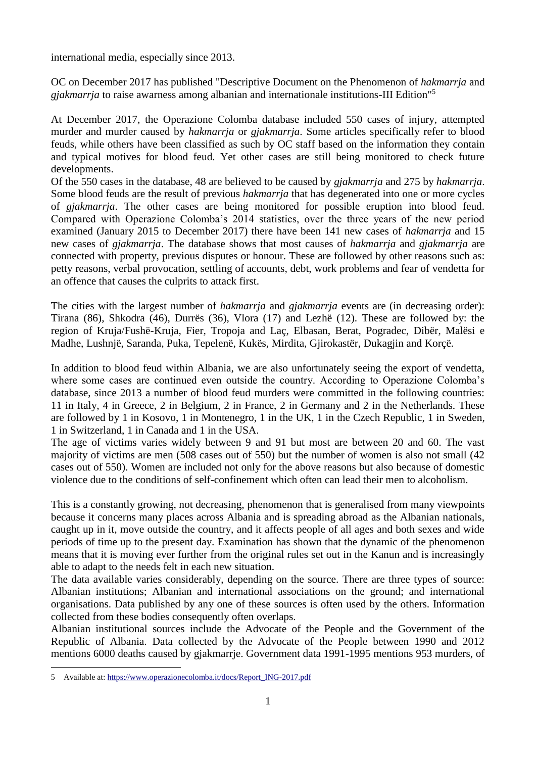international media, especially since 2013.

OC on December 2017 has published "Descriptive Document on the Phenomenon of *hakmarrja* and *gjakmarrja* to raise awarness among albanian and internationale institutions-III Edition" 5

At December 2017, the Operazione Colomba database included 550 cases of injury, attempted murder and murder caused by *hakmarrja* or *gjakmarrja*. Some articles specifically refer to blood feuds, while others have been classified as such by OC staff based on the information they contain and typical motives for blood feud. Yet other cases are still being monitored to check future developments.

Of the 550 cases in the database, 48 are believed to be caused by *gjakmarrja* and 275 by *hakmarrja*. Some blood feuds are the result of previous *hakmarrja* that has degenerated into one or more cycles of *gjakmarrja*. The other cases are being monitored for possible eruption into blood feud. Compared with Operazione Colomba's 2014 statistics, over the three years of the new period examined (January 2015 to December 2017) there have been 141 new cases of *hakmarrja* and 15 new cases of *gjakmarrja*. The database shows that most causes of *hakmarrja* and *gjakmarrja* are connected with property, previous disputes or honour. These are followed by other reasons such as: petty reasons, verbal provocation, settling of accounts, debt, work problems and fear of vendetta for an offence that causes the culprits to attack first.

The cities with the largest number of *hakmarrja* and *gjakmarrja* events are (in decreasing order): Tirana (86), Shkodra (46), Durrës (36), Vlora (17) and Lezhë (12). These are followed by: the region of Kruja/Fushë-Kruja, Fier, Tropoja and Laç, Elbasan, Berat, Pogradec, Dibër, Malësi e Madhe, Lushnjë, Saranda, Puka, Tepelenë, Kukës, Mirdita, Gjirokastër, Dukagjin and Korçë.

In addition to blood feud within Albania, we are also unfortunately seeing the export of vendetta, where some cases are continued even outside the country. According to Operazione Colomba's database, since 2013 a number of blood feud murders were committed in the following countries: 11 in Italy, 4 in Greece, 2 in Belgium, 2 in France, 2 in Germany and 2 in the Netherlands. These are followed by 1 in Kosovo, 1 in Montenegro, 1 in the UK, 1 in the Czech Republic, 1 in Sweden, 1 in Switzerland, 1 in Canada and 1 in the USA.

The age of victims varies widely between 9 and 91 but most are between 20 and 60. The vast majority of victims are men (508 cases out of 550) but the number of women is also not small (42 cases out of 550). Women are included not only for the above reasons but also because of domestic violence due to the conditions of self-confinement which often can lead their men to alcoholism.

This is a constantly growing, not decreasing, phenomenon that is generalised from many viewpoints because it concerns many places across Albania and is spreading abroad as the Albanian nationals, caught up in it, move outside the country, and it affects people of all ages and both sexes and wide periods of time up to the present day. Examination has shown that the dynamic of the phenomenon means that it is moving ever further from the original rules set out in the Kanun and is increasingly able to adapt to the needs felt in each new situation.

The data available varies considerably, depending on the source. There are three types of source: Albanian institutions; Albanian and international associations on the ground; and international organisations. Data published by any one of these sources is often used by the others. Information collected from these bodies consequently often overlaps.

Albanian institutional sources include the Advocate of the People and the Government of the Republic of Albania. Data collected by the Advocate of the People between 1990 and 2012 mentions 6000 deaths caused by gjakmarrje. Government data 1991-1995 mentions 953 murders, of

<sup>1</sup> 5 Available at: [https://www.operazionecolomba.it/docs/Report\\_ING-2017.pdf](https://www.operazionecolomba.it/docs/Report_ING-2017.pdf)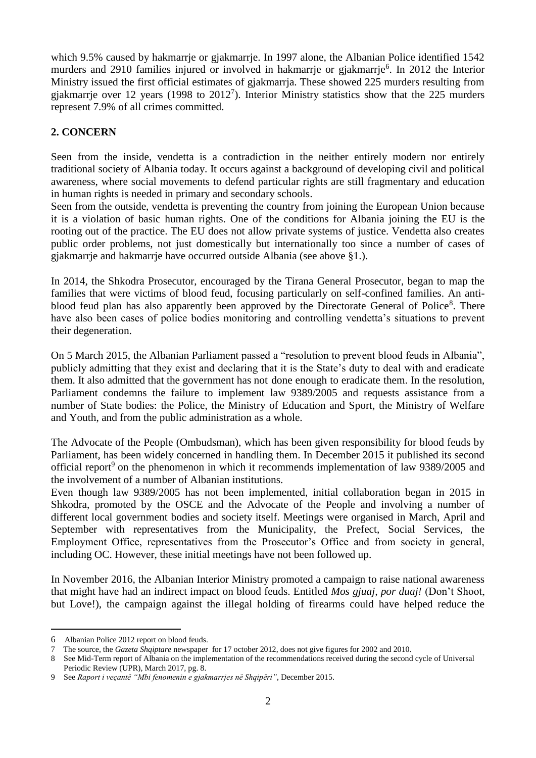which 9.5% caused by hakmarrie or gjakmarrie. In 1997 alone, the Albanian Police identified 1542 murders and 2910 families injured or involved in hakmarrje or gjakmarrje<sup>6</sup>. In 2012 the Interior Ministry issued the first official estimates of gjakmarrja. These showed 225 murders resulting from gjakmarrje over 12 years (1998 to  $2012<sup>7</sup>$ ). Interior Ministry statistics show that the 225 murders represent 7.9% of all crimes committed.

### **2. CONCERN**

Seen from the inside, vendetta is a contradiction in the neither entirely modern nor entirely traditional society of Albania today. It occurs against a background of developing civil and political awareness, where social movements to defend particular rights are still fragmentary and education in human rights is needed in primary and secondary schools.

Seen from the outside, vendetta is preventing the country from joining the European Union because it is a violation of basic human rights. One of the conditions for Albania joining the EU is the rooting out of the practice. The EU does not allow private systems of justice. Vendetta also creates public order problems, not just domestically but internationally too since a number of cases of gjakmarrje and hakmarrje have occurred outside Albania (see above §1.).

In 2014, the Shkodra Prosecutor, encouraged by the Tirana General Prosecutor, began to map the families that were victims of blood feud, focusing particularly on self-confined families. An antiblood feud plan has also apparently been approved by the Directorate General of Police<sup>8</sup>. There have also been cases of police bodies monitoring and controlling vendetta's situations to prevent their degeneration.

On 5 March 2015, the Albanian Parliament passed a "resolution to prevent blood feuds in Albania", publicly admitting that they exist and declaring that it is the State's duty to deal with and eradicate them. It also admitted that the government has not done enough to eradicate them. In the resolution, Parliament condemns the failure to implement law 9389/2005 and requests assistance from a number of State bodies: the Police, the Ministry of Education and Sport, the Ministry of Welfare and Youth, and from the public administration as a whole.

The Advocate of the People (Ombudsman), which has been given responsibility for blood feuds by Parliament, has been widely concerned in handling them. In December 2015 it published its second official report<sup>9</sup> on the phenomenon in which it recommends implementation of law 9389/2005 and the involvement of a number of Albanian institutions.

Even though law 9389/2005 has not been implemented, initial collaboration began in 2015 in Shkodra, promoted by the OSCE and the Advocate of the People and involving a number of different local government bodies and society itself. Meetings were organised in March, April and September with representatives from the Municipality, the Prefect, Social Services, the Employment Office, representatives from the Prosecutor's Office and from society in general, including OC. However, these initial meetings have not been followed up.

In November 2016, the Albanian Interior Ministry promoted a campaign to raise national awareness that might have had an indirect impact on blood feuds. Entitled *Mos gjuaj, por duaj!* (Don't Shoot, but Love!), the campaign against the illegal holding of firearms could have helped reduce the

<u>.</u>

<sup>6</sup> Albanian Police 2012 report on blood feuds.

<sup>7</sup> The source, the *Gazeta Shqiptare* newspaper for 17 october 2012, does not give figures for 2002 and 2010.

<sup>8</sup> See Mid-Term report of Albania on the implementation of the recommendations received during the second cycle of Universal

Periodic Review (UPR), March 2017, pg. 8. 9 See *Raport i veçantë "Mbi fenomenin e gjakmarrjes në Shqipëri"*, December 2015.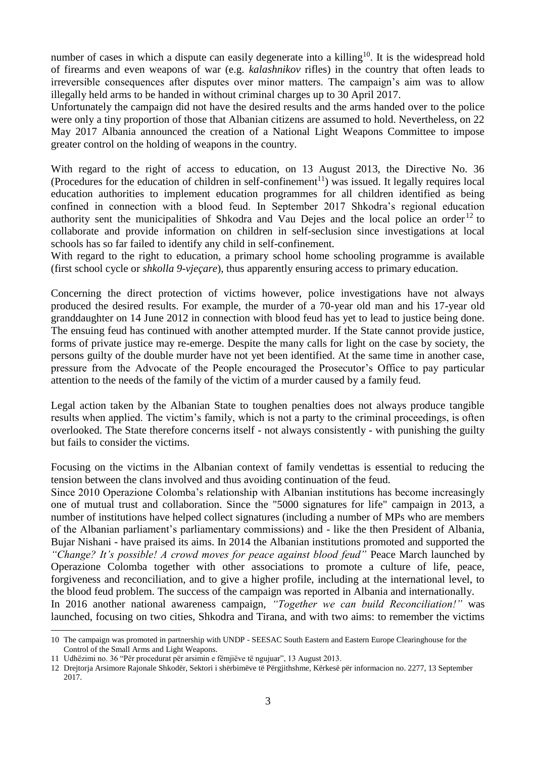number of cases in which a dispute can easily degenerate into a killing<sup>10</sup>. It is the widespread hold of firearms and even weapons of war (e.g. *kalashnikov* rifles) in the country that often leads to irreversible consequences after disputes over minor matters. The campaign's aim was to allow illegally held arms to be handed in without criminal charges up to 30 April 2017.

Unfortunately the campaign did not have the desired results and the arms handed over to the police were only a tiny proportion of those that Albanian citizens are assumed to hold. Nevertheless, on 22 May 2017 Albania announced the creation of a National Light Weapons Committee to impose greater control on the holding of weapons in the country.

With regard to the right of access to education, on 13 August 2013, the Directive No. 36 (Procedures for the education of children in self-confinement<sup>11</sup>) was issued. It legally requires local education authorities to implement education programmes for all children identified as being confined in connection with a blood feud. In September 2017 Shkodra's regional education authority sent the municipalities of Shkodra and Vau Dejes and the local police an order  $12$  to collaborate and provide information on children in self-seclusion since investigations at local schools has so far failed to identify any child in self-confinement.

With regard to the right to education, a primary school home schooling programme is available (first school cycle or *shkolla 9-vjeçare*), thus apparently ensuring access to primary education.

Concerning the direct protection of victims however, police investigations have not always produced the desired results. For example, the murder of a 70-year old man and his 17-year old granddaughter on 14 June 2012 in connection with blood feud has yet to lead to justice being done. The ensuing feud has continued with another attempted murder. If the State cannot provide justice, forms of private justice may re-emerge. Despite the many calls for light on the case by society, the persons guilty of the double murder have not yet been identified. At the same time in another case, pressure from the Advocate of the People encouraged the Prosecutor's Office to pay particular attention to the needs of the family of the victim of a murder caused by a family feud.

Legal action taken by the Albanian State to toughen penalties does not always produce tangible results when applied. The victim's family, which is not a party to the criminal proceedings, is often overlooked. The State therefore concerns itself - not always consistently - with punishing the guilty but fails to consider the victims.

Focusing on the victims in the Albanian context of family vendettas is essential to reducing the tension between the clans involved and thus avoiding continuation of the feud.

Since 2010 Operazione Colomba's relationship with Albanian institutions has become increasingly one of mutual trust and collaboration. Since the "5000 signatures for life" campaign in 2013, a number of institutions have helped collect signatures (including a number of MPs who are members of the Albanian parliament's parliamentary commissions) and - like the then President of Albania, Bujar Nishani - have praised its aims. In 2014 the Albanian institutions promoted and supported the *"Change? It's possible! A crowd moves for peace against blood feud"* Peace March launched by Operazione Colomba together with other associations to promote a culture of life, peace, forgiveness and reconciliation, and to give a higher profile, including at the international level, to the blood feud problem. The success of the campaign was reported in Albania and internationally.

In 2016 another national awareness campaign, *"Together we can build Reconciliation!"* was launched, focusing on two cities, Shkodra and Tirana, and with two aims: to remember the victims 1

<sup>10</sup> The campaign was promoted in partnership with UNDP - SEESAC South Eastern and Eastern Europe Clearinghouse for the Control of the Small Arms and Light Weapons.

<sup>11</sup> Udhëzimi no. 36 "Për procedurat për arsimin e fëmjiëve të ngujuar", 13 August 2013.

<sup>12</sup> Drejtorja Arsimore Rajonale Shkodër, Sektori i shërbimëve të Përgjithshme, Kërkesë për informacion no. 2277, 13 September 2017.